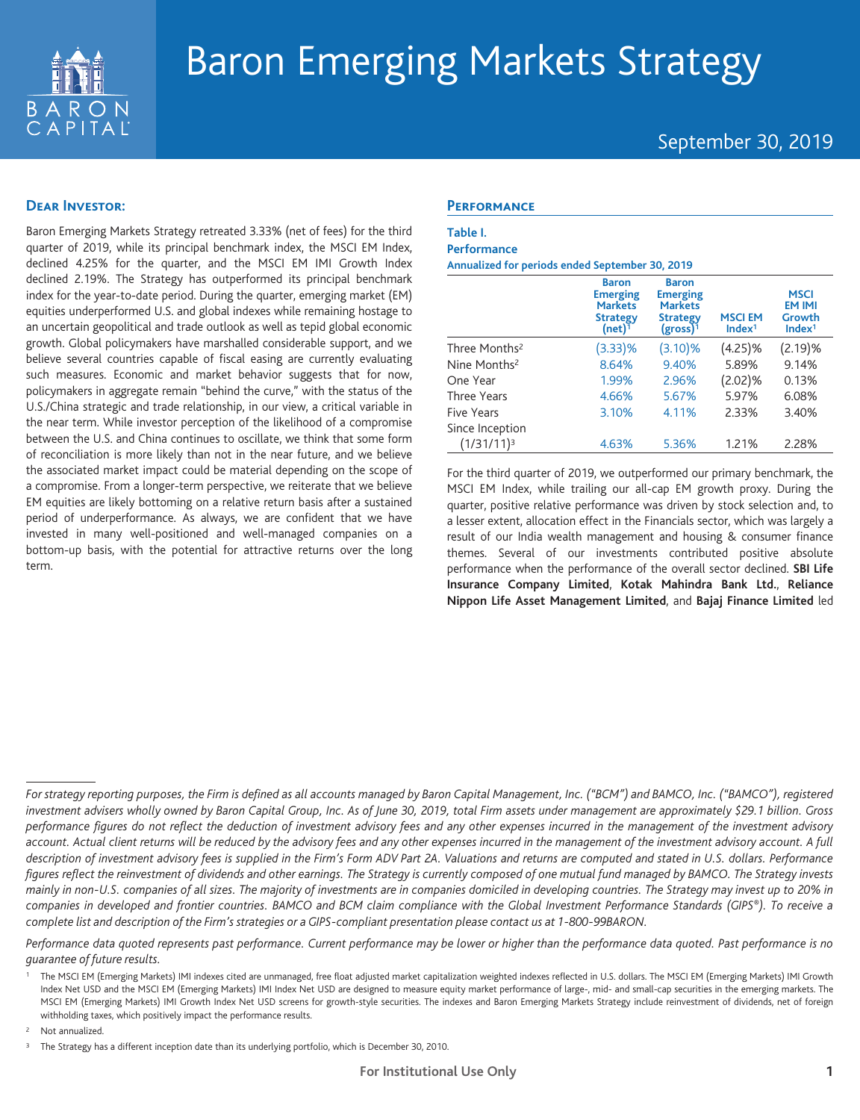

# Baron Emerging Markets Strategy

## September 30, 2019

## **Dear Investor:**

Baron Emerging Markets Strategy retreated 3.33% (net of fees) for the third quarter of 2019, while its principal benchmark index, the MSCI EM Index, declined 4.25% for the quarter, and the MSCI EM IMI Growth Index declined 2.19%. The Strategy has outperformed its principal benchmark index for the year-to-date period. During the quarter, emerging market (EM) equities underperformed U.S. and global indexes while remaining hostage to an uncertain geopolitical and trade outlook as well as tepid global economic growth. Global policymakers have marshalled considerable support, and we believe several countries capable of fiscal easing are currently evaluating such measures. Economic and market behavior suggests that for now, policymakers in aggregate remain "behind the curve," with the status of the U.S./China strategic and trade relationship, in our view, a critical variable in the near term. While investor perception of the likelihood of a compromise between the U.S. and China continues to oscillate, we think that some form of reconciliation is more likely than not in the near future, and we believe the associated market impact could be material depending on the scope of a compromise. From a longer-term perspective, we reiterate that we believe EM equities are likely bottoming on a relative return basis after a sustained period of underperformance. As always, we are confident that we have invested in many well-positioned and well-managed companies on a bottom-up basis, with the potential for attractive returns over the long term.

## **Performance**

#### **Table I. Performance**

**Annualized for periods ended September 30, 2019**

|                           | <b>Baron</b><br><b>Emerging</b><br><b>Markets</b><br><b>Strategy</b><br>$(net)^{\bar{1}}$ | <b>Baron</b><br><b>Emerging</b><br><b>Markets</b><br><b>Strategy</b><br>$(gross)^{1}$ | <b>MSCIEM</b><br>Index <sup>1</sup> | <b>MSCI</b><br><b>EM IMI</b><br>Growth<br>Index <sup>1</sup> |
|---------------------------|-------------------------------------------------------------------------------------------|---------------------------------------------------------------------------------------|-------------------------------------|--------------------------------------------------------------|
| Three Months <sup>2</sup> | (3.33)%                                                                                   | (3.10)%                                                                               | $(4.25)\%$                          | (2.19)%                                                      |
| Nine Months <sup>2</sup>  | 8.64%                                                                                     | 9.40%                                                                                 | 5.89%                               | 9.14%                                                        |
| One Year                  | 1.99%                                                                                     | 2.96%                                                                                 | $(2.02)\%$                          | 0.13%                                                        |
| <b>Three Years</b>        | 4.66%                                                                                     | 5.67%                                                                                 | 5.97%                               | 6.08%                                                        |
| Five Years                | 3.10%                                                                                     | 4.11%                                                                                 | 2.33%                               | 3.40%                                                        |
| Since Inception           |                                                                                           |                                                                                       |                                     |                                                              |
| $(1/31/11)^3$             | 4.63%                                                                                     | 5.36%                                                                                 | 1.21%                               | 2.28%                                                        |

For the third quarter of 2019, we outperformed our primary benchmark, the MSCI EM Index, while trailing our all-cap EM growth proxy. During the quarter, positive relative performance was driven by stock selection and, to a lesser extent, allocation effect in the Financials sector, which was largely a result of our India wealth management and housing & consumer finance themes. Several of our investments contributed positive absolute performance when the performance of the overall sector declined. **SBI Life Insurance Company Limited**, **Kotak Mahindra Bank Ltd.**, **Reliance Nippon Life Asset Management Limited**, and **Bajaj Finance Limited** led

*Performance data quoted represents past performance. Current performance may be lower or higher than the performance data quoted. Past performance is no guarantee of future results.*

Not annualized.

*For strategy reporting purposes, the Firm is defined as all accounts managed by Baron Capital Management, Inc. ("BCM") and BAMCO, Inc. ("BAMCO"), registered investment advisers wholly owned by Baron Capital Group, Inc. As of June 30, 2019, total Firm assets under management are approximately \$29.1 billion. Gross performance figures do not reflect the deduction of investment advisory fees and any other expenses incurred in the management of the investment advisory account. Actual client returns will be reduced by the advisory fees and any other expenses incurred in the management of the investment advisory account. A full description of investment advisory fees is supplied in the Firm's Form ADV Part 2A. Valuations and returns are computed and stated in U.S. dollars. Performance figures reflect the reinvestment of dividends and other earnings. The Strategy is currently composed of one mutual fund managed by BAMCO. The Strategy invests mainly in non-U.S. companies of all sizes. The majority of investments are in companies domiciled in developing countries. The Strategy may invest up to 20% in companies in developed and frontier countries. BAMCO and BCM claim compliance with the Global Investment Performance Standards (GIPS®). To receive a complete list and description of the Firm's strategies or a GIPS-compliant presentation please contact us at 1-800-99BARON.*

<sup>1</sup> The MSCI EM (Emerging Markets) IMI indexes cited are unmanaged, free float adjusted market capitalization weighted indexes reflected in U.S. dollars. The MSCI EM (Emerging Markets) IMI Growth Index Net USD and the MSCI EM (Emerging Markets) IMI Index Net USD are designed to measure equity market performance of large-, mid- and small-cap securities in the emerging markets. The MSCI EM (Emerging Markets) IMI Growth Index Net USD screens for growth-style securities. The indexes and Baron Emerging Markets Strategy include reinvestment of dividends, net of foreign withholding taxes, which positively impact the performance results.

<sup>&</sup>lt;sup>3</sup> The Strategy has a different inception date than its underlying portfolio, which is December 30, 2010.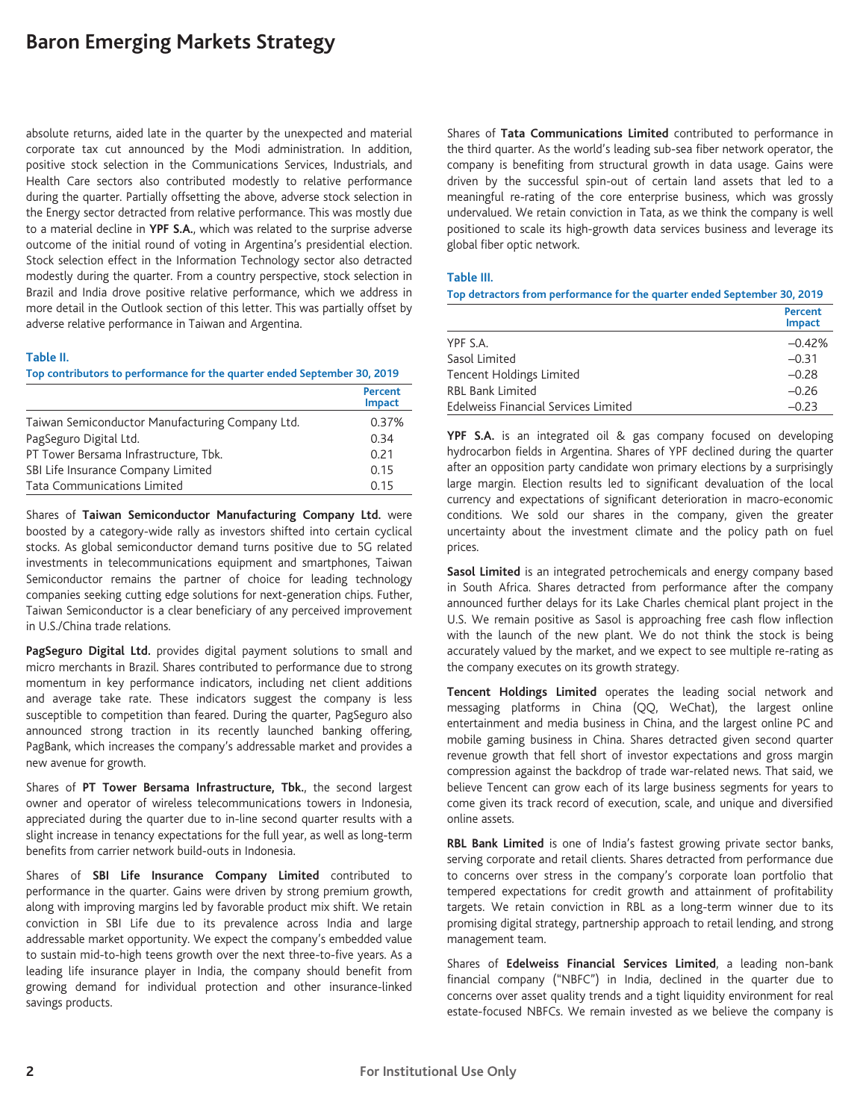# **Baron Emerging Markets Strategy**

absolute returns, aided late in the quarter by the unexpected and material corporate tax cut announced by the Modi administration. In addition, positive stock selection in the Communications Services, Industrials, and Health Care sectors also contributed modestly to relative performance during the quarter. Partially offsetting the above, adverse stock selection in the Energy sector detracted from relative performance. This was mostly due to a material decline in **YPF S.A.**, which was related to the surprise adverse outcome of the initial round of voting in Argentina's presidential election. Stock selection effect in the Information Technology sector also detracted modestly during the quarter. From a country perspective, stock selection in Brazil and India drove positive relative performance, which we address in more detail in the Outlook section of this letter. This was partially offset by adverse relative performance in Taiwan and Argentina.

#### **Table II.**

**Top contributors to performance for the quarter ended September 30, 2019**

|                                                 | Percent<br><b>Impact</b> |
|-------------------------------------------------|--------------------------|
| Taiwan Semiconductor Manufacturing Company Ltd. | 0.37%                    |
| PagSeguro Digital Ltd.                          | 0.34                     |
| PT Tower Bersama Infrastructure, Tbk.           | 0.21                     |
| SBI Life Insurance Company Limited              | 0.15                     |
| <b>Tata Communications Limited</b>              | 0.15                     |

Shares of **Taiwan Semiconductor Manufacturing Company Ltd.** were boosted by a category-wide rally as investors shifted into certain cyclical stocks. As global semiconductor demand turns positive due to 5G related investments in telecommunications equipment and smartphones, Taiwan Semiconductor remains the partner of choice for leading technology companies seeking cutting edge solutions for next-generation chips. Futher, Taiwan Semiconductor is a clear beneficiary of any perceived improvement in U.S./China trade relations.

**PagSeguro Digital Ltd.** provides digital payment solutions to small and micro merchants in Brazil. Shares contributed to performance due to strong momentum in key performance indicators, including net client additions and average take rate. These indicators suggest the company is less susceptible to competition than feared. During the quarter, PagSeguro also announced strong traction in its recently launched banking offering, PagBank, which increases the company's addressable market and provides a new avenue for growth.

Shares of **PT Tower Bersama Infrastructure, Tbk.**, the second largest owner and operator of wireless telecommunications towers in Indonesia, appreciated during the quarter due to in-line second quarter results with a slight increase in tenancy expectations for the full year, as well as long-term benefits from carrier network build-outs in Indonesia.

Shares of **SBI Life Insurance Company Limited** contributed to performance in the quarter. Gains were driven by strong premium growth, along with improving margins led by favorable product mix shift. We retain conviction in SBI Life due to its prevalence across India and large addressable market opportunity. We expect the company's embedded value to sustain mid-to-high teens growth over the next three-to-five years. As a leading life insurance player in India, the company should benefit from growing demand for individual protection and other insurance-linked savings products.

Shares of **Tata Communications Limited** contributed to performance in the third quarter. As the world's leading sub-sea fiber network operator, the company is benefiting from structural growth in data usage. Gains were driven by the successful spin-out of certain land assets that led to a meaningful re-rating of the core enterprise business, which was grossly undervalued. We retain conviction in Tata, as we think the company is well positioned to scale its high-growth data services business and leverage its global fiber optic network.

#### **Table III.**

**Top detractors from performance for the quarter ended September 30, 2019**

|                                      | <b>Percent</b><br><b>Impact</b> |
|--------------------------------------|---------------------------------|
| YPF S.A.                             | $-0.42%$                        |
| Sasol Limited                        | $-0.31$                         |
| Tencent Holdings Limited             | $-0.28$                         |
| RBL Bank Limited                     | $-0.26$                         |
| Edelweiss Financial Services Limited | $-0.23$                         |

**YPF S.A.** is an integrated oil & gas company focused on developing hydrocarbon fields in Argentina. Shares of YPF declined during the quarter after an opposition party candidate won primary elections by a surprisingly large margin. Election results led to significant devaluation of the local currency and expectations of significant deterioration in macro-economic conditions. We sold our shares in the company, given the greater uncertainty about the investment climate and the policy path on fuel prices.

**Sasol Limited** is an integrated petrochemicals and energy company based in South Africa. Shares detracted from performance after the company announced further delays for its Lake Charles chemical plant project in the U.S. We remain positive as Sasol is approaching free cash flow inflection with the launch of the new plant. We do not think the stock is being accurately valued by the market, and we expect to see multiple re-rating as the company executes on its growth strategy.

**Tencent Holdings Limited** operates the leading social network and messaging platforms in China (QQ, WeChat), the largest online entertainment and media business in China, and the largest online PC and mobile gaming business in China. Shares detracted given second quarter revenue growth that fell short of investor expectations and gross margin compression against the backdrop of trade war-related news. That said, we believe Tencent can grow each of its large business segments for years to come given its track record of execution, scale, and unique and diversified online assets.

**RBL Bank Limited** is one of India's fastest growing private sector banks, serving corporate and retail clients. Shares detracted from performance due to concerns over stress in the company's corporate loan portfolio that tempered expectations for credit growth and attainment of profitability targets. We retain conviction in RBL as a long-term winner due to its promising digital strategy, partnership approach to retail lending, and strong management team.

Shares of **Edelweiss Financial Services Limited**, a leading non-bank financial company ("NBFC") in India, declined in the quarter due to concerns over asset quality trends and a tight liquidity environment for real estate-focused NBFCs. We remain invested as we believe the company is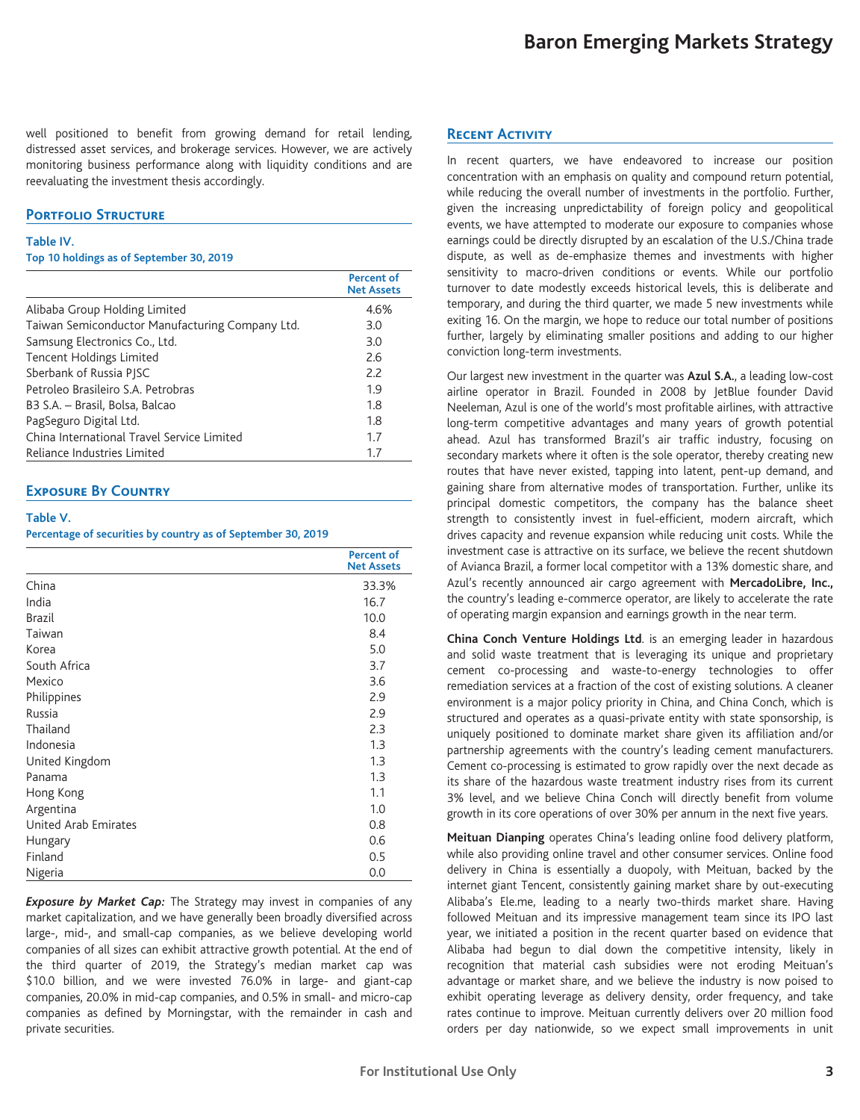well positioned to benefit from growing demand for retail lending, distressed asset services, and brokerage services. However, we are actively monitoring business performance along with liquidity conditions and are reevaluating the investment thesis accordingly.

## **PORTFOLIO STRUCTURE**

#### **Table IV.**

**Top 10 holdings as of September 30, 2019**

|                                                 | <b>Percent of</b><br><b>Net Assets</b> |
|-------------------------------------------------|----------------------------------------|
| Alibaba Group Holding Limited                   | 4.6%                                   |
| Taiwan Semiconductor Manufacturing Company Ltd. | 3.0                                    |
| Samsung Electronics Co., Ltd.                   | 3.0                                    |
| <b>Tencent Holdings Limited</b>                 | 2.6                                    |
| Sberbank of Russia PISC                         | 2.2                                    |
| Petroleo Brasileiro S.A. Petrobras              | 1.9                                    |
| B3 S.A. – Brasil, Bolsa, Balcao                 | 1.8                                    |
| PagSeguro Digital Ltd.                          | 1.8                                    |
| China International Travel Service Limited      | 1.7                                    |
| Reliance Industries Limited                     | 1.7                                    |

### **Exposure By Country**

#### **Table V.**

**Percentage of securities by country as of September 30, 2019**

|                      | <b>Percent of</b><br><b>Net Assets</b> |
|----------------------|----------------------------------------|
| China                | 33.3%                                  |
| India                | 16.7                                   |
| <b>Brazil</b>        | 10.0                                   |
| Taiwan               | 8.4                                    |
| Korea                | 5.0                                    |
| South Africa         | 3.7                                    |
| Mexico               | 3.6                                    |
| Philippines          | 2.9                                    |
| Russia               | 2.9                                    |
| Thailand             | 2.3                                    |
| Indonesia            | 1.3                                    |
| United Kingdom       | 1.3                                    |
| Panama               | 1.3                                    |
| Hong Kong            | 1.1                                    |
| Argentina            | 1.0                                    |
| United Arab Emirates | 0.8                                    |
| Hungary              | 0.6                                    |
| Finland              | 0.5                                    |
| Nigeria              | 0.0                                    |

*Exposure by Market Cap:* The Strategy may invest in companies of any market capitalization, and we have generally been broadly diversified across large-, mid-, and small-cap companies, as we believe developing world companies of all sizes can exhibit attractive growth potential. At the end of the third quarter of 2019, the Strategy's median market cap was \$10.0 billion, and we were invested 76.0% in large- and giant-cap companies, 20.0% in mid-cap companies, and 0.5% in small- and micro-cap companies as defined by Morningstar, with the remainder in cash and private securities.

## **Recent Activity**

In recent quarters, we have endeavored to increase our position concentration with an emphasis on quality and compound return potential, while reducing the overall number of investments in the portfolio. Further, given the increasing unpredictability of foreign policy and geopolitical events, we have attempted to moderate our exposure to companies whose earnings could be directly disrupted by an escalation of the U.S./China trade dispute, as well as de-emphasize themes and investments with higher sensitivity to macro-driven conditions or events. While our portfolio turnover to date modestly exceeds historical levels, this is deliberate and temporary, and during the third quarter, we made 5 new investments while exiting 16. On the margin, we hope to reduce our total number of positions further, largely by eliminating smaller positions and adding to our higher conviction long-term investments.

Our largest new investment in the quarter was **Azul S.A.**, a leading low-cost airline operator in Brazil. Founded in 2008 by JetBlue founder David Neeleman, Azul is one of the world's most profitable airlines, with attractive long-term competitive advantages and many years of growth potential ahead. Azul has transformed Brazil's air traffic industry, focusing on secondary markets where it often is the sole operator, thereby creating new routes that have never existed, tapping into latent, pent-up demand, and gaining share from alternative modes of transportation. Further, unlike its principal domestic competitors, the company has the balance sheet strength to consistently invest in fuel-efficient, modern aircraft, which drives capacity and revenue expansion while reducing unit costs. While the investment case is attractive on its surface, we believe the recent shutdown of Avianca Brazil, a former local competitor with a 13% domestic share, and Azul's recently announced air cargo agreement with **MercadoLibre, Inc.,** the country's leading e-commerce operator, are likely to accelerate the rate of operating margin expansion and earnings growth in the near term.

**China Conch Venture Holdings Ltd**. is an emerging leader in hazardous and solid waste treatment that is leveraging its unique and proprietary cement co-processing and waste-to-energy technologies to offer remediation services at a fraction of the cost of existing solutions. A cleaner environment is a major policy priority in China, and China Conch, which is structured and operates as a quasi-private entity with state sponsorship, is uniquely positioned to dominate market share given its affiliation and/or partnership agreements with the country's leading cement manufacturers. Cement co-processing is estimated to grow rapidly over the next decade as its share of the hazardous waste treatment industry rises from its current 3% level, and we believe China Conch will directly benefit from volume growth in its core operations of over 30% per annum in the next five years.

**Meituan Dianping** operates China's leading online food delivery platform, while also providing online travel and other consumer services. Online food delivery in China is essentially a duopoly, with Meituan, backed by the internet giant Tencent, consistently gaining market share by out-executing Alibaba's Ele.me, leading to a nearly two-thirds market share. Having followed Meituan and its impressive management team since its IPO last year, we initiated a position in the recent quarter based on evidence that Alibaba had begun to dial down the competitive intensity, likely in recognition that material cash subsidies were not eroding Meituan's advantage or market share, and we believe the industry is now poised to exhibit operating leverage as delivery density, order frequency, and take rates continue to improve. Meituan currently delivers over 20 million food orders per day nationwide, so we expect small improvements in unit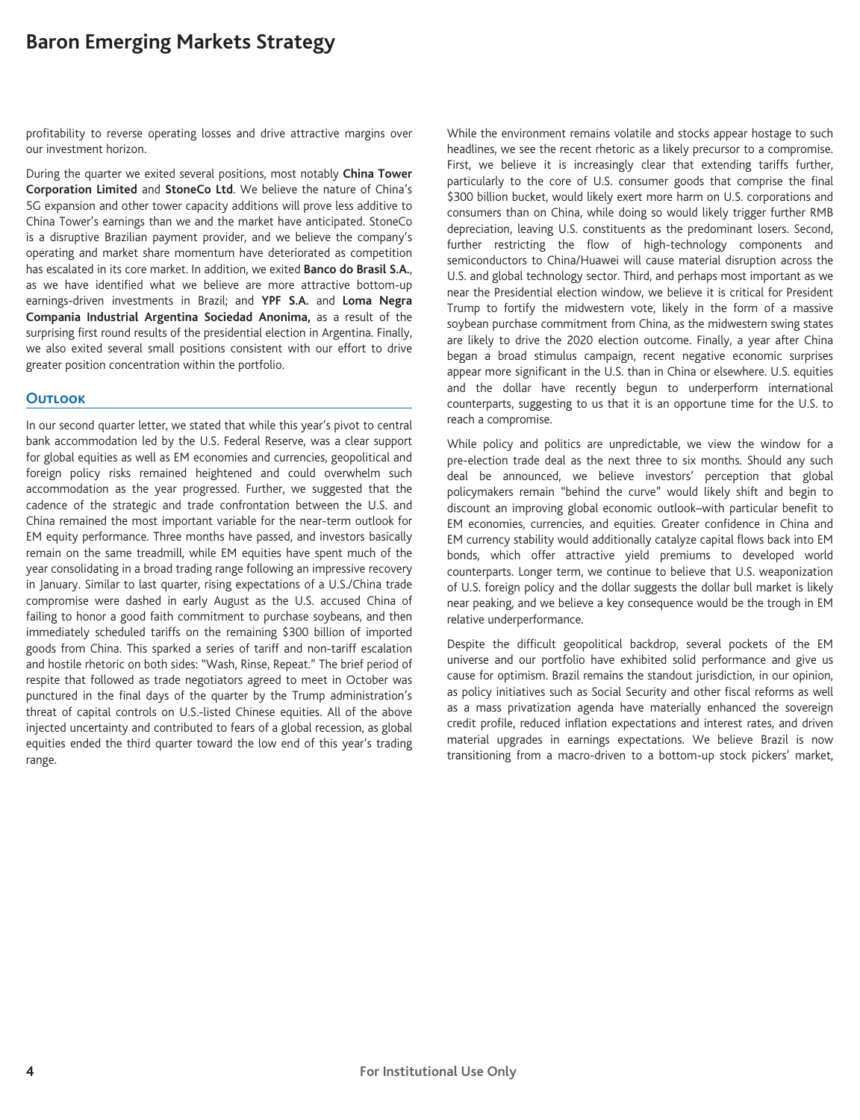# **Baron Emerging Markets Strategy**

profitability to reverse operating losses and drive attractive margins over our investment horizon.

During the quarter we exited several positions, most notably **China Tower Corporation Limited** and **StoneCo Ltd**. We believe the nature of China's 5G expansion and other tower capacity additions will prove less additive to China Tower's earnings than we and the market have anticipated. StoneCo is a disruptive Brazilian payment provider, and we believe the company's operating and market share momentum have deteriorated as competition has escalated in its core market. In addition, we exited **Banco do Brasil S.A.**, as we have identified what we believe are more attractive bottom-up earnings-driven investments in Brazil; and **YPF S.A.** and **Loma Negra Compania Industrial Argentina Sociedad Anonima,** as a result of the surprising first round results of the presidential election in Argentina. Finally, we also exited several small positions consistent with our effort to drive greater position concentration within the portfolio.

## **Outlook**

In our second quarter letter, we stated that while this year's pivot to central bank accommodation led by the U.S. Federal Reserve, was a clear support for global equities as well as EM economies and currencies, geopolitical and foreign policy risks remained heightened and could overwhelm such accommodation as the year progressed. Further, we suggested that the cadence of the strategic and trade confrontation between the U.S. and China remained the most important variable for the near-term outlook for EM equity performance. Three months have passed, and investors basically remain on the same treadmill, while EM equities have spent much of the year consolidating in a broad trading range following an impressive recovery in January. Similar to last quarter, rising expectations of a U.S./China trade compromise were dashed in early August as the U.S. accused China of failing to honor a good faith commitment to purchase soybeans, and then immediately scheduled tariffs on the remaining \$300 billion of imported goods from China. This sparked a series of tariff and non-tariff escalation and hostile rhetoric on both sides: "Wash, Rinse, Repeat." The brief period of respite that followed as trade negotiators agreed to meet in October was punctured in the final days of the quarter by the Trump administration's threat of capital controls on U.S.-listed Chinese equities. All of the above injected uncertainty and contributed to fears of a global recession, as global equities ended the third quarter toward the low end of this year's trading range.

While the environment remains volatile and stocks appear hostage to such headlines, we see the recent rhetoric as a likely precursor to a compromise. First, we believe it is increasingly clear that extending tariffs further, particularly to the core of U.S. consumer goods that comprise the final \$300 billion bucket, would likely exert more harm on U.S. corporations and consumers than on China, while doing so would likely trigger further RMB depreciation, leaving U.S. constituents as the predominant losers. Second, further restricting the flow of high-technology components and semiconductors to China/Huawei will cause material disruption across the U.S. and global technology sector. Third, and perhaps most important as we near the Presidential election window, we believe it is critical for President Trump to fortify the midwestern vote, likely in the form of a massive soybean purchase commitment from China, as the midwestern swing states are likely to drive the 2020 election outcome. Finally, a year after China began a broad stimulus campaign, recent negative economic surprises appear more significant in the U.S. than in China or elsewhere. U.S. equities and the dollar have recently begun to underperform international counterparts, suggesting to us that it is an opportune time for the U.S. to reach a compromise.

While policy and politics are unpredictable, we view the window for a pre-election trade deal as the next three to six months. Should any such deal be announced, we believe investors' perception that global policymakers remain "behind the curve" would likely shift and begin to discount an improving global economic outlook–with particular benefit to EM economies, currencies, and equities. Greater confidence in China and EM currency stability would additionally catalyze capital flows back into EM bonds, which offer attractive yield premiums to developed world counterparts. Longer term, we continue to believe that U.S. weaponization of U.S. foreign policy and the dollar suggests the dollar bull market is likely near peaking, and we believe a key consequence would be the trough in EM relative underperformance.

Despite the difficult geopolitical backdrop, several pockets of the EM universe and our portfolio have exhibited solid performance and give us cause for optimism. Brazil remains the standout jurisdiction, in our opinion, as policy initiatives such as Social Security and other fiscal reforms as well as a mass privatization agenda have materially enhanced the sovereign credit profile, reduced inflation expectations and interest rates, and driven material upgrades in earnings expectations. We believe Brazil is now transitioning from a macro-driven to a bottom-up stock pickers' market,